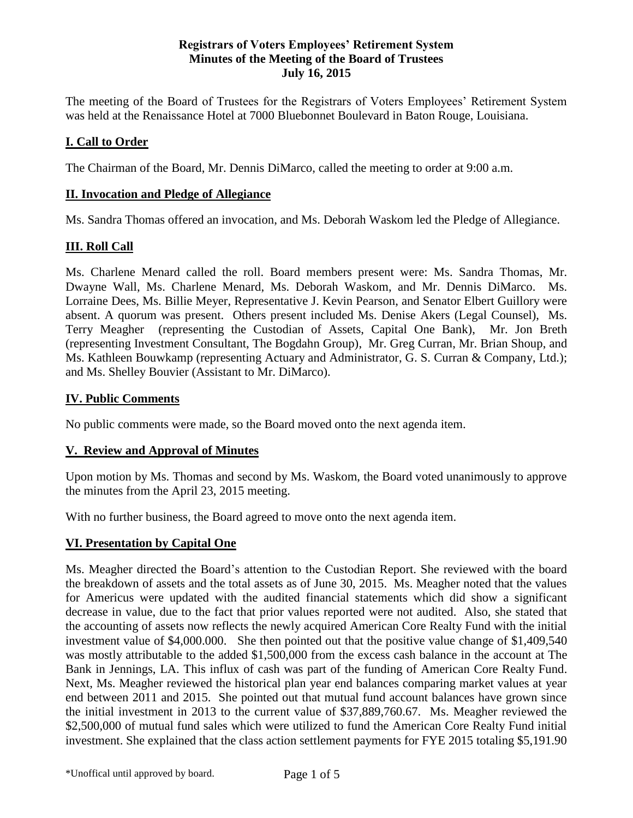### **Registrars of Voters Employees' Retirement System Minutes of the Meeting of the Board of Trustees July 16, 2015**

The meeting of the Board of Trustees for the Registrars of Voters Employees' Retirement System was held at the Renaissance Hotel at 7000 Bluebonnet Boulevard in Baton Rouge, Louisiana.

### **I. Call to Order**

The Chairman of the Board, Mr. Dennis DiMarco, called the meeting to order at 9:00 a.m.

#### **II. Invocation and Pledge of Allegiance**

Ms. Sandra Thomas offered an invocation, and Ms. Deborah Waskom led the Pledge of Allegiance.

#### **III. Roll Call**

Ms. Charlene Menard called the roll. Board members present were: Ms. Sandra Thomas, Mr. Dwayne Wall, Ms. Charlene Menard, Ms. Deborah Waskom, and Mr. Dennis DiMarco. Ms. Lorraine Dees, Ms. Billie Meyer, Representative J. Kevin Pearson, and Senator Elbert Guillory were absent. A quorum was present. Others present included Ms. Denise Akers (Legal Counsel), Ms. Terry Meagher (representing the Custodian of Assets, Capital One Bank), Mr. Jon Breth (representing Investment Consultant, The Bogdahn Group), Mr. Greg Curran, Mr. Brian Shoup, and Ms. Kathleen Bouwkamp (representing Actuary and Administrator, G. S. Curran & Company, Ltd.); and Ms. Shelley Bouvier (Assistant to Mr. DiMarco).

#### **IV. Public Comments**

No public comments were made, so the Board moved onto the next agenda item.

#### **V. Review and Approval of Minutes**

Upon motion by Ms. Thomas and second by Ms. Waskom, the Board voted unanimously to approve the minutes from the April 23, 2015 meeting.

With no further business, the Board agreed to move onto the next agenda item.

#### **VI. Presentation by Capital One**

Ms. Meagher directed the Board's attention to the Custodian Report. She reviewed with the board the breakdown of assets and the total assets as of June 30, 2015. Ms. Meagher noted that the values for Americus were updated with the audited financial statements which did show a significant decrease in value, due to the fact that prior values reported were not audited. Also, she stated that the accounting of assets now reflects the newly acquired American Core Realty Fund with the initial investment value of \$4,000.000. She then pointed out that the positive value change of \$1,409,540 was mostly attributable to the added \$1,500,000 from the excess cash balance in the account at The Bank in Jennings, LA. This influx of cash was part of the funding of American Core Realty Fund. Next, Ms. Meagher reviewed the historical plan year end balances comparing market values at year end between 2011 and 2015. She pointed out that mutual fund account balances have grown since the initial investment in 2013 to the current value of \$37,889,760.67. Ms. Meagher reviewed the \$2,500,000 of mutual fund sales which were utilized to fund the American Core Realty Fund initial investment. She explained that the class action settlement payments for FYE 2015 totaling \$5,191.90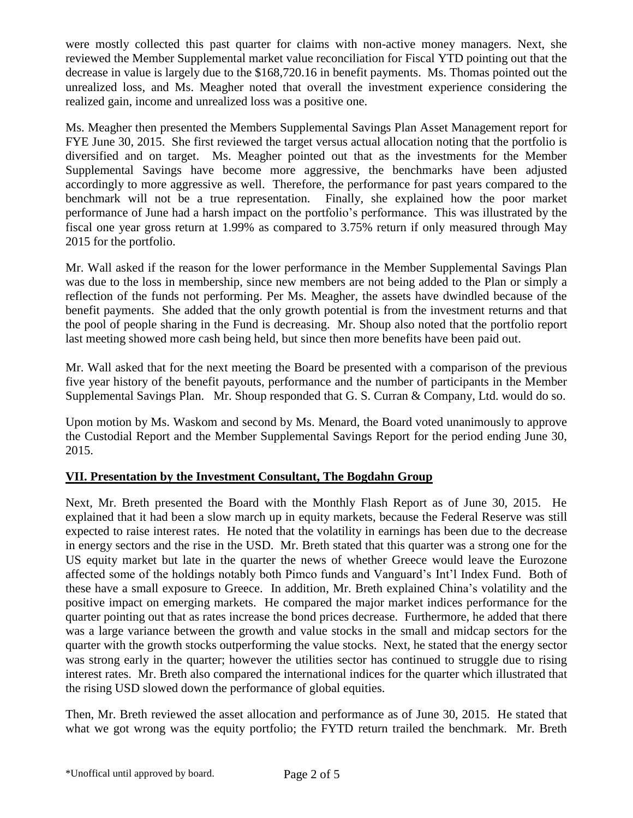were mostly collected this past quarter for claims with non-active money managers. Next, she reviewed the Member Supplemental market value reconciliation for Fiscal YTD pointing out that the decrease in value is largely due to the \$168,720.16 in benefit payments. Ms. Thomas pointed out the unrealized loss, and Ms. Meagher noted that overall the investment experience considering the realized gain, income and unrealized loss was a positive one.

Ms. Meagher then presented the Members Supplemental Savings Plan Asset Management report for FYE June 30, 2015. She first reviewed the target versus actual allocation noting that the portfolio is diversified and on target. Ms. Meagher pointed out that as the investments for the Member Supplemental Savings have become more aggressive, the benchmarks have been adjusted accordingly to more aggressive as well. Therefore, the performance for past years compared to the benchmark will not be a true representation. Finally, she explained how the poor market performance of June had a harsh impact on the portfolio's performance. This was illustrated by the fiscal one year gross return at 1.99% as compared to 3.75% return if only measured through May 2015 for the portfolio.

Mr. Wall asked if the reason for the lower performance in the Member Supplemental Savings Plan was due to the loss in membership, since new members are not being added to the Plan or simply a reflection of the funds not performing. Per Ms. Meagher, the assets have dwindled because of the benefit payments. She added that the only growth potential is from the investment returns and that the pool of people sharing in the Fund is decreasing. Mr. Shoup also noted that the portfolio report last meeting showed more cash being held, but since then more benefits have been paid out.

Mr. Wall asked that for the next meeting the Board be presented with a comparison of the previous five year history of the benefit payouts, performance and the number of participants in the Member Supplemental Savings Plan. Mr. Shoup responded that G. S. Curran & Company, Ltd. would do so.

Upon motion by Ms. Waskom and second by Ms. Menard, the Board voted unanimously to approve the Custodial Report and the Member Supplemental Savings Report for the period ending June 30, 2015.

## **VII. Presentation by the Investment Consultant, The Bogdahn Group**

Next, Mr. Breth presented the Board with the Monthly Flash Report as of June 30, 2015. He explained that it had been a slow march up in equity markets, because the Federal Reserve was still expected to raise interest rates. He noted that the volatility in earnings has been due to the decrease in energy sectors and the rise in the USD. Mr. Breth stated that this quarter was a strong one for the US equity market but late in the quarter the news of whether Greece would leave the Eurozone affected some of the holdings notably both Pimco funds and Vanguard's Int'l Index Fund. Both of these have a small exposure to Greece. In addition, Mr. Breth explained China's volatility and the positive impact on emerging markets. He compared the major market indices performance for the quarter pointing out that as rates increase the bond prices decrease. Furthermore, he added that there was a large variance between the growth and value stocks in the small and midcap sectors for the quarter with the growth stocks outperforming the value stocks. Next, he stated that the energy sector was strong early in the quarter; however the utilities sector has continued to struggle due to rising interest rates. Mr. Breth also compared the international indices for the quarter which illustrated that the rising USD slowed down the performance of global equities.

Then, Mr. Breth reviewed the asset allocation and performance as of June 30, 2015. He stated that what we got wrong was the equity portfolio; the FYTD return trailed the benchmark. Mr. Breth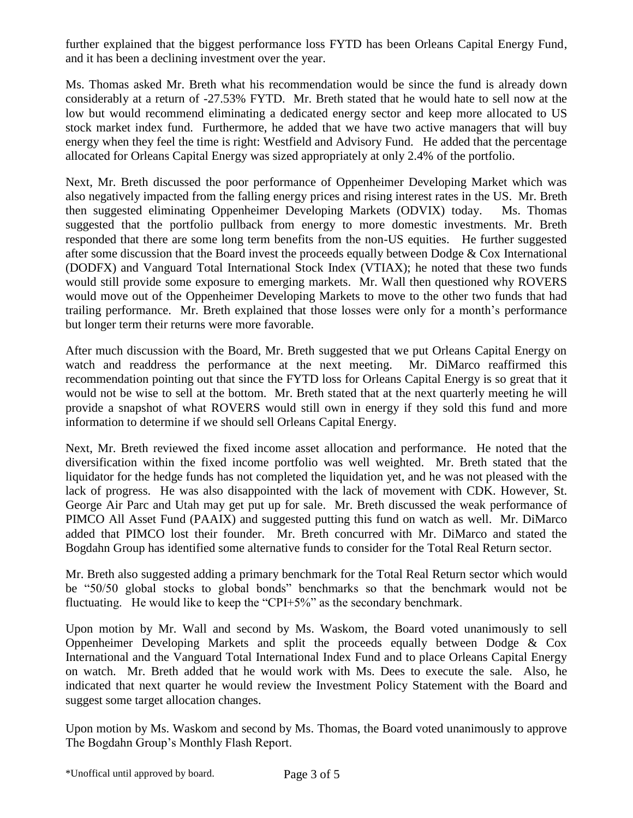further explained that the biggest performance loss FYTD has been Orleans Capital Energy Fund, and it has been a declining investment over the year.

Ms. Thomas asked Mr. Breth what his recommendation would be since the fund is already down considerably at a return of -27.53% FYTD. Mr. Breth stated that he would hate to sell now at the low but would recommend eliminating a dedicated energy sector and keep more allocated to US stock market index fund. Furthermore, he added that we have two active managers that will buy energy when they feel the time is right: Westfield and Advisory Fund. He added that the percentage allocated for Orleans Capital Energy was sized appropriately at only 2.4% of the portfolio.

Next, Mr. Breth discussed the poor performance of Oppenheimer Developing Market which was also negatively impacted from the falling energy prices and rising interest rates in the US. Mr. Breth then suggested eliminating Oppenheimer Developing Markets (ODVIX) today. Ms. Thomas suggested that the portfolio pullback from energy to more domestic investments. Mr. Breth responded that there are some long term benefits from the non-US equities. He further suggested after some discussion that the Board invest the proceeds equally between Dodge & Cox International (DODFX) and Vanguard Total International Stock Index (VTIAX); he noted that these two funds would still provide some exposure to emerging markets. Mr. Wall then questioned why ROVERS would move out of the Oppenheimer Developing Markets to move to the other two funds that had trailing performance. Mr. Breth explained that those losses were only for a month's performance but longer term their returns were more favorable.

After much discussion with the Board, Mr. Breth suggested that we put Orleans Capital Energy on watch and readdress the performance at the next meeting. Mr. DiMarco reaffirmed this recommendation pointing out that since the FYTD loss for Orleans Capital Energy is so great that it would not be wise to sell at the bottom. Mr. Breth stated that at the next quarterly meeting he will provide a snapshot of what ROVERS would still own in energy if they sold this fund and more information to determine if we should sell Orleans Capital Energy.

Next, Mr. Breth reviewed the fixed income asset allocation and performance. He noted that the diversification within the fixed income portfolio was well weighted. Mr. Breth stated that the liquidator for the hedge funds has not completed the liquidation yet, and he was not pleased with the lack of progress. He was also disappointed with the lack of movement with CDK. However, St. George Air Parc and Utah may get put up for sale. Mr. Breth discussed the weak performance of PIMCO All Asset Fund (PAAIX) and suggested putting this fund on watch as well. Mr. DiMarco added that PIMCO lost their founder. Mr. Breth concurred with Mr. DiMarco and stated the Bogdahn Group has identified some alternative funds to consider for the Total Real Return sector.

Mr. Breth also suggested adding a primary benchmark for the Total Real Return sector which would be "50/50 global stocks to global bonds" benchmarks so that the benchmark would not be fluctuating. He would like to keep the "CPI+5%" as the secondary benchmark.

Upon motion by Mr. Wall and second by Ms. Waskom, the Board voted unanimously to sell Oppenheimer Developing Markets and split the proceeds equally between Dodge & Cox International and the Vanguard Total International Index Fund and to place Orleans Capital Energy on watch. Mr. Breth added that he would work with Ms. Dees to execute the sale. Also, he indicated that next quarter he would review the Investment Policy Statement with the Board and suggest some target allocation changes.

Upon motion by Ms. Waskom and second by Ms. Thomas, the Board voted unanimously to approve The Bogdahn Group's Monthly Flash Report.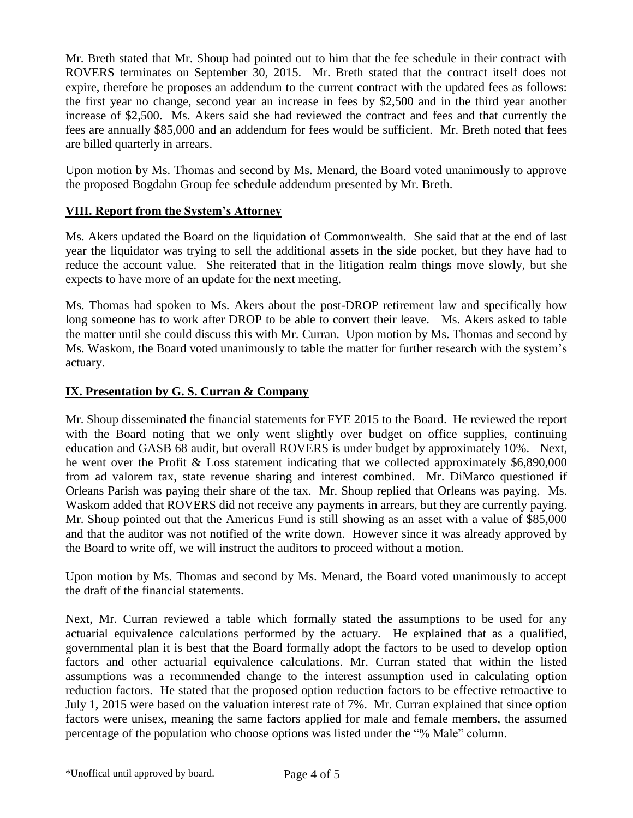Mr. Breth stated that Mr. Shoup had pointed out to him that the fee schedule in their contract with ROVERS terminates on September 30, 2015. Mr. Breth stated that the contract itself does not expire, therefore he proposes an addendum to the current contract with the updated fees as follows: the first year no change, second year an increase in fees by \$2,500 and in the third year another increase of \$2,500. Ms. Akers said she had reviewed the contract and fees and that currently the fees are annually \$85,000 and an addendum for fees would be sufficient. Mr. Breth noted that fees are billed quarterly in arrears.

Upon motion by Ms. Thomas and second by Ms. Menard, the Board voted unanimously to approve the proposed Bogdahn Group fee schedule addendum presented by Mr. Breth.

## **VIII. Report from the System's Attorney**

Ms. Akers updated the Board on the liquidation of Commonwealth. She said that at the end of last year the liquidator was trying to sell the additional assets in the side pocket, but they have had to reduce the account value. She reiterated that in the litigation realm things move slowly, but she expects to have more of an update for the next meeting.

Ms. Thomas had spoken to Ms. Akers about the post-DROP retirement law and specifically how long someone has to work after DROP to be able to convert their leave. Ms. Akers asked to table the matter until she could discuss this with Mr. Curran. Upon motion by Ms. Thomas and second by Ms. Waskom, the Board voted unanimously to table the matter for further research with the system's actuary.

## **IX. Presentation by G. S. Curran & Company**

Mr. Shoup disseminated the financial statements for FYE 2015 to the Board. He reviewed the report with the Board noting that we only went slightly over budget on office supplies, continuing education and GASB 68 audit, but overall ROVERS is under budget by approximately 10%. Next, he went over the Profit & Loss statement indicating that we collected approximately \$6,890,000 from ad valorem tax, state revenue sharing and interest combined. Mr. DiMarco questioned if Orleans Parish was paying their share of the tax. Mr. Shoup replied that Orleans was paying. Ms. Waskom added that ROVERS did not receive any payments in arrears, but they are currently paying. Mr. Shoup pointed out that the Americus Fund is still showing as an asset with a value of \$85,000 and that the auditor was not notified of the write down. However since it was already approved by the Board to write off, we will instruct the auditors to proceed without a motion.

Upon motion by Ms. Thomas and second by Ms. Menard, the Board voted unanimously to accept the draft of the financial statements.

Next, Mr. Curran reviewed a table which formally stated the assumptions to be used for any actuarial equivalence calculations performed by the actuary. He explained that as a qualified, governmental plan it is best that the Board formally adopt the factors to be used to develop option factors and other actuarial equivalence calculations. Mr. Curran stated that within the listed assumptions was a recommended change to the interest assumption used in calculating option reduction factors. He stated that the proposed option reduction factors to be effective retroactive to July 1, 2015 were based on the valuation interest rate of 7%. Mr. Curran explained that since option factors were unisex, meaning the same factors applied for male and female members, the assumed percentage of the population who choose options was listed under the "% Male" column.